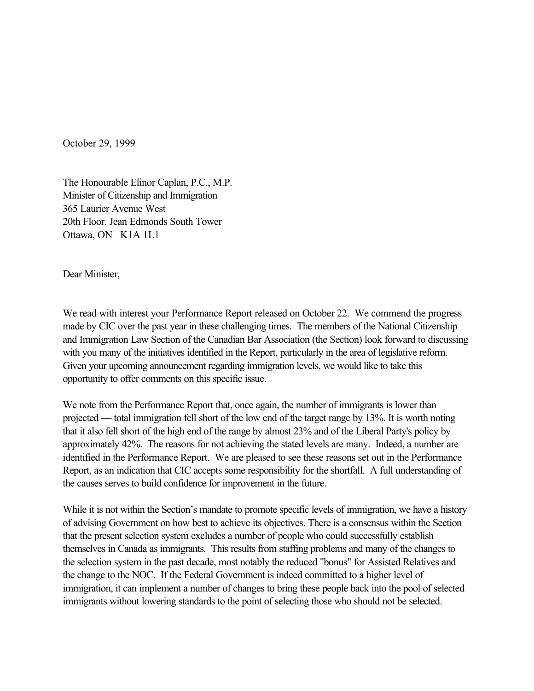October 29, 1999

The Honourable Elinor Caplan, P.C., M.P. Minister of Citizenship and Immigration 365 Laurier Avenue West 20th Floor, Jean Edmonds South Tower Ottawa, ON K1A 1L1

Dear Minister,

We read with interest your Performance Report released on October 22. We commend the progress made by CIC over the past year in these challenging times. The members of the National Citizenship and Immigration Law Section of the Canadian Bar Association (the Section) look forward to discussing with you many of the initiatives identified in the Report, particularly in the area of legislative reform. Given your upcoming announcement regarding immigration levels, we would like to take this opportunity to offer comments on this specific issue.

We note from the Performance Report that, once again, the number of immigrants is lower than projected — total immigration fell short of the low end of the target range by 13%. It is worth noting that it also fell short of the high end of the range by almost 23% and of the Liberal Party's policy by approximately 42%. The reasons for not achieving the stated levels are many. Indeed, a number are identified in the Performance Report. We are pleased to see these reasons set out in the Performance Report, as an indication that CIC accepts some responsibility for the shortfall. A full understanding of the causes serves to build confidence for improvement in the future.

While it is not within the Section's mandate to promote specific levels of immigration, we have a history of advising Government on how best to achieve its objectives. There is a consensus within the Section that the present selection system excludes a number of people who could successfully establish themselves in Canada as immigrants. This results from staffing problems and many of the changes to the selection system in the past decade, most notably the reduced "bonus" for Assisted Relatives and the change to the NOC. If the Federal Government is indeed committed to a higher level of immigration, it can implement a number of changes to bring these people back into the pool of selected immigrants without lowering standards to the point of selecting those who should not be selected.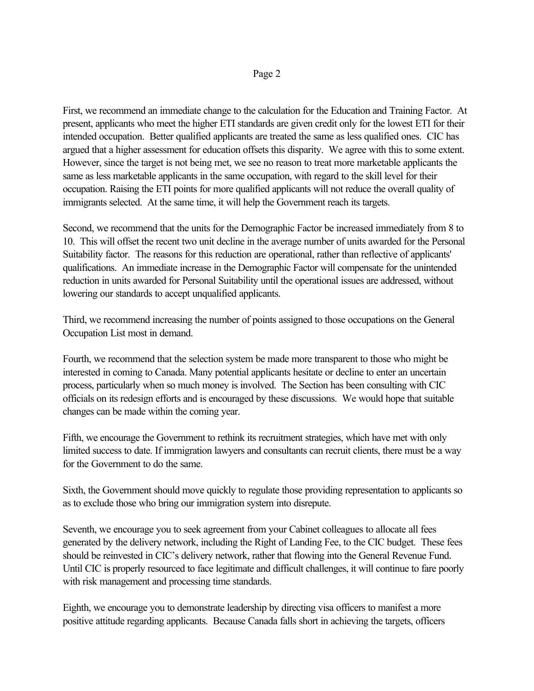## Page 2

First, we recommend an immediate change to the calculation for the Education and Training Factor. At present, applicants who meet the higher ETI standards are given credit only for the lowest ETI for their intended occupation. Better qualified applicants are treated the same as less qualified ones. CIC has argued that a higher assessment for education offsets this disparity. We agree with this to some extent. However, since the target is not being met, we see no reason to treat more marketable applicants the same as less marketable applicants in the same occupation, with regard to the skill level for their occupation. Raising the ETI points for more qualified applicants will not reduce the overall quality of immigrants selected. At the same time, it will help the Government reach its targets.

Second, we recommend that the units for the Demographic Factor be increased immediately from 8 to 10. This will offset the recent two unit decline in the average number of units awarded for the Personal Suitability factor. The reasons for this reduction are operational, rather than reflective of applicants' qualifications. An immediate increase in the Demographic Factor will compensate for the unintended reduction in units awarded for Personal Suitability until the operational issues are addressed, without lowering our standards to accept unqualified applicants.

Third, we recommend increasing the number of points assigned to those occupations on the General Occupation List most in demand.

Fourth, we recommend that the selection system be made more transparent to those who might be interested in coming to Canada. Many potential applicants hesitate or decline to enter an uncertain process, particularly when so much money is involved. The Section has been consulting with CIC officials on its redesign efforts and is encouraged by these discussions. We would hope that suitable changes can be made within the coming year.

Fifth, we encourage the Government to rethink its recruitment strategies, which have met with only limited success to date. If immigration lawyers and consultants can recruit clients, there must be a way for the Government to do the same.

Sixth, the Government should move quickly to regulate those providing representation to applicants so as to exclude those who bring our immigration system into disrepute.

Seventh, we encourage you to seek agreement from your Cabinet colleagues to allocate all fees generated by the delivery network, including the Right of Landing Fee, to the CIC budget. These fees should be reinvested in CIC's delivery network, rather that flowing into the General Revenue Fund. Until CIC is properly resourced to face legitimate and difficult challenges, it will continue to fare poorly with risk management and processing time standards.

Eighth, we encourage you to demonstrate leadership by directing visa officers to manifest a more positive attitude regarding applicants. Because Canada falls short in achieving the targets, officers